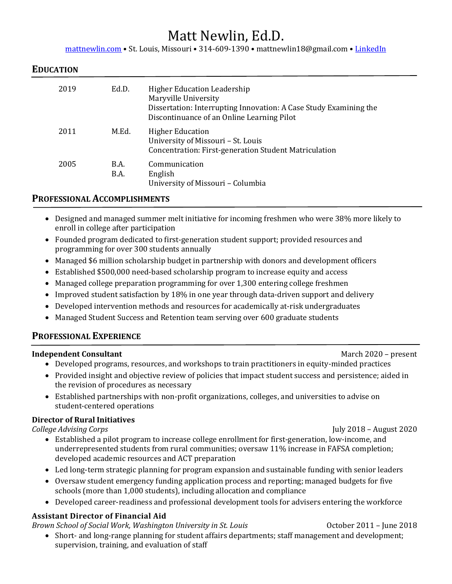# Matt Newlin, Ed.D.

[mattnewlin.com](http://www.mattnewlin.com/) • St. Louis, Missouri • 314-609-1390 • mattnewlin18@gmail.com • [LinkedIn](https://www.linkedin.com/in/mattnewlin/)

#### **EDUCATION**

| 2019 | Ed.D.        | <b>Higher Education Leadership</b><br>Maryville University<br>Dissertation: Interrupting Innovation: A Case Study Examining the<br>Discontinuance of an Online Learning Pilot |
|------|--------------|-------------------------------------------------------------------------------------------------------------------------------------------------------------------------------|
| 2011 | M.Ed.        | <b>Higher Education</b><br>University of Missouri - St. Louis<br>Concentration: First-generation Student Matriculation                                                        |
| 2005 | B.A.<br>B.A. | Communication<br>English<br>University of Missouri - Columbia                                                                                                                 |

#### **PROFESSIONAL ACCOMPLISHMENTS**

- Designed and managed summer melt initiative for incoming freshmen who were 38% more likely to enroll in college after participation
- Founded program dedicated to first-generation student support; provided resources and programming for over 300 students annually
- Managed \$6 million scholarship budget in partnership with donors and development officers
- Established \$500,000 need-based scholarship program to increase equity and access
- Managed college preparation programming for over 1,300 entering college freshmen
- Improved student satisfaction by 18% in one year through data-driven support and delivery
- Developed intervention methods and resources for academically at-risk undergraduates
- Managed Student Success and Retention team serving over 600 graduate students

### **PROFESSIONAL EXPERIENCE**

#### **Independent Consultant** March 2020 – present

- Developed programs, resources, and workshops to train practitioners in equity-minded practices
- Provided insight and objective review of policies that impact student success and persistence; aided in the revision of procedures as necessary
- Established partnerships with non-profit organizations, colleges, and universities to advise on student-centered operations

#### **Director of Rural Initiatives**

*College Advising Corps* July 2018 – August 2020

- Established a pilot program to increase college enrollment for first-generation, low-income, and underrepresented students from rural communities; oversaw 11% increase in FAFSA completion; developed academic resources and ACT preparation
- Led long-term strategic planning for program expansion and sustainable funding with senior leaders
- Oversaw student emergency funding application process and reporting; managed budgets for five schools (more than 1,000 students), including allocation and compliance
- Developed career-readiness and professional development tools for advisers entering the workforce

#### **Assistant Director of Financial Aid**

*Brown School of Social Work, Washington University in St. Louis* October 2011 – June 2018

• Short- and long-range planning for student affairs departments; staff management and development; supervision, training, and evaluation of staff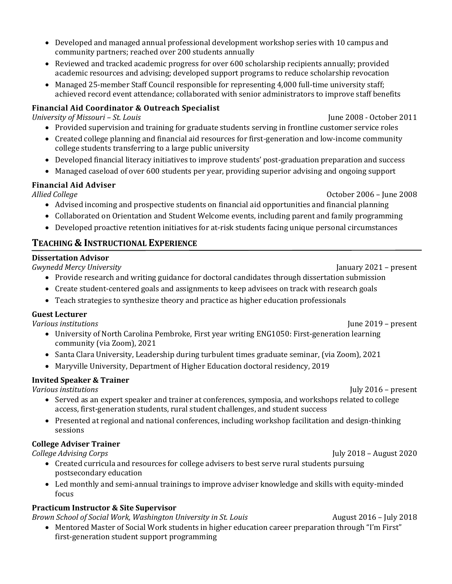- Developed and managed annual professional development workshop series with 10 campus and community partners; reached over 200 students annually
- Reviewed and tracked academic progress for over 600 scholarship recipients annually; provided academic resources and advising; developed support programs to reduce scholarship revocation
- Managed 25-member Staff Council responsible for representing 4,000 full-time university staff; achieved record event attendance; collaborated with senior administrators to improve staff benefits

# **Financial Aid Coordinator & Outreach Specialist**

*University of Missouri – St. Louis* June 2008 - October 2011

- Provided supervision and training for graduate students serving in frontline customer service roles
- Created college planning and financial aid resources for first-generation and low-income community college students transferring to a large public university
- Developed financial literacy initiatives to improve students' post-graduation preparation and success
- Managed caseload of over 600 students per year, providing superior advising and ongoing support

# **Financial Aid Adviser**

- *Allied College* October 2006 June 2008
	- Advised incoming and prospective students on financial aid opportunities and financial planning
	- Collaborated on Orientation and Student Welcome events, including parent and family programming
	- Developed proactive retention initiatives for at-risk students facing unique personal circumstances

# **TEACHING & INSTRUCTIONAL EXPERIENCE**

# **Dissertation Advisor**

*Gwynedd Mercy University* January 2021 – present

- Provide research and writing guidance for doctoral candidates through dissertation submission
- Create student-centered goals and assignments to keep advisees on track with research goals
- Teach strategies to synthesize theory and practice as higher education professionals

# **Guest Lecturer**

*Various institutions* June 2019 – present

- University of North Carolina Pembroke, First year writing ENG1050: First-generation learning community (via Zoom), 2021
- Santa Clara University, Leadership during turbulent times graduate seminar, (via Zoom), 2021
- Maryville University, Department of Higher Education doctoral residency, 2019

# **Invited Speaker & Trainer**

- *Various institutions* July 2016 present • Served as an expert speaker and trainer at conferences, symposia, and workshops related to college access, first-generation students, rural student challenges, and student success
	- Presented at regional and national conferences, including workshop facilitation and design-thinking sessions

# **College Adviser Trainer**

*College Advising Corps* July 2018 – August 2020

- Created curricula and resources for college advisers to best serve rural students pursuing postsecondary education
- Led monthly and semi-annual trainings to improve adviser knowledge and skills with equity-minded focus

# **Practicum Instructor & Site Supervisor**

*Brown School of Social Work, Washington University in St. Louis* August 2016 – July 2018

• Mentored Master of Social Work students in higher education career preparation through "I'm First" first-generation student support programming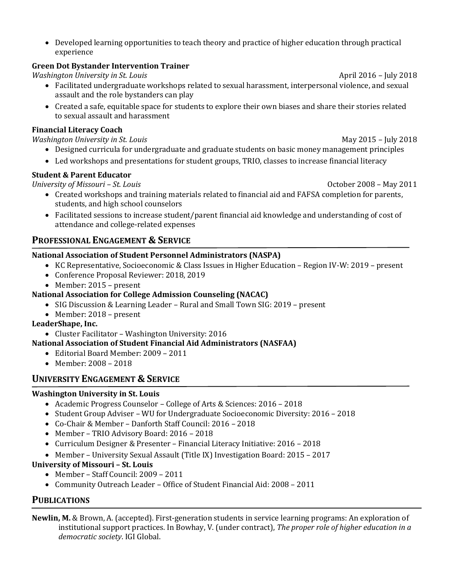• Developed learning opportunities to teach theory and practice of higher education through practical experience

### **Green Dot Bystander Intervention Trainer**

*Washington University in St. Louis* April 2016 – July 2018

- Facilitated undergraduate workshops related to sexual harassment, interpersonal violence, and sexual assault and the role bystanders can play
- Created a safe, equitable space for students to explore their own biases and share their stories related to sexual assault and harassment

#### **Financial Literacy Coach**

*Washington University in St. Louis* May 2015 – July 2018

- Designed curricula for undergraduate and graduate students on basic money management principles
- Led workshops and presentations for student groups, TRIO, classes to increase financial literacy

#### **Student & Parent Educator**

*University of Missouri – St. Louis Company <i>Louis* Company *Company 2008 – May 2011* 

- Created workshops and training materials related to financial aid and FAFSA completion for parents, students, and high school counselors
- Facilitated sessions to increase student/parent financial aid knowledge and understanding of cost of attendance and college-related expenses

### **PROFESSIONAL ENGAGEMENT & SERVICE**

#### **National Association of Student Personnel Administrators (NASPA)**

- KC Representative, Socioeconomic & Class Issues in Higher Education Region IV-W: 2019 present
- Conference Proposal Reviewer: 2018, 2019
- Member: 2015 present

#### **National Association for College Admission Counseling (NACAC)**

- SIG Discussion & Learning Leader Rural and Small Town SIG: 2019 present
- Member: 2018 present

#### **LeaderShape, Inc.**

• Cluster Facilitator – Washington University: 2016

#### **National Association of Student Financial Aid Administrators (NASFAA)**

- Editorial Board Member: 2009 2011
- Member: 2008 2018

# **UNIVERSITY ENGAGEMENT & SERVICE**

### **Washington University in St. Louis**

- Academic Progress Counselor College of Arts & Sciences: 2016 2018
- Student Group Adviser WU for Undergraduate Socioeconomic Diversity: 2016 2018
- Co-Chair & Member Danforth Staff Council: 2016 2018
- Member TRIO Advisory Board: 2016 2018
- Curriculum Designer & Presenter Financial Literacy Initiative: 2016 2018
- Member University Sexual Assault (Title IX) Investigation Board: 2015 2017

### **University of Missouri – St. Louis**

- Member Staff Council: 2009 2011
- Community Outreach Leader Office of Student Financial Aid: 2008 2011

### **PUBLICATIONS**

**Newlin, M.** & Brown, A. (accepted). First-generation students in service learning programs: An exploration of institutional support practices. In Bowhay, V. (under contract), *The proper role of higher education in a democratic society*. IGI Global.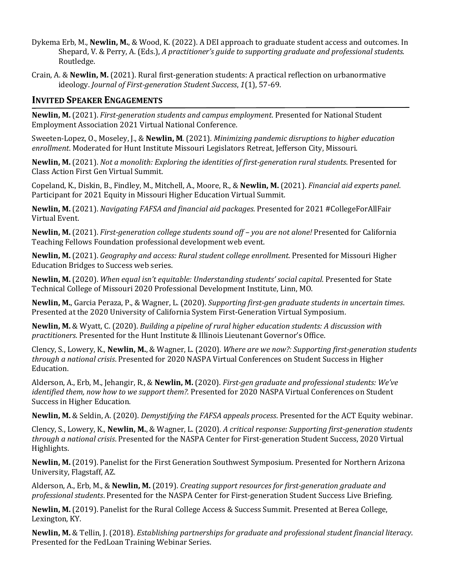- Dykema Erb, M., **Newlin, M.**, & Wood, K. (2022). A DEI approach to graduate student access and outcomes. In Shepard, V. & Perry, A. (Eds.), *A practitioner's guide to supporting graduate and professional students*. Routledge.
- Crain, A. & **Newlin, M.** (2021). Rural first-generation students: A practical reflection on urbanormative ideology. *Journal of First-generation Student Success*, *1*(1), 57-69.

### **INVITED SPEAKER ENGAGEMENTS**

**Newlin, M.** (2021). *First-generation students and campus employment*. Presented for National Student Employment Association 2021 Virtual National Conference.

Sweeten-Lopez, O., Moseley, J., & **Newlin, M**. (2021). *Minimizing pandemic disruptions to higher education enrollment*. Moderated for Hunt Institute Missouri Legislators Retreat, Jefferson City, Missouri.

**Newlin, M.** (2021). *Not a monolith: Exploring the identities of first-generation rural students*. Presented for Class Action First Gen Virtual Summit.

Copeland, K., Diskin, B., Findley, M., Mitchell, A., Moore, R., & **Newlin, M.** (2021). *Financial aid experts panel*. Participant for 2021 Equity in Missouri Higher Education Virtual Summit.

**Newlin, M.** (2021). *Navigating FAFSA and financial aid packages*. Presented for 2021 #CollegeForAllFair Virtual Event.

**Newlin, M.** (2021). *First-generation college students sound off – you are not alone!* Presented for California Teaching Fellows Foundation professional development web event.

**Newlin, M.** (2021). *Geography and access: Rural student college enrollment*. Presented for Missouri Higher Education Bridges to Success web series.

**Newlin, M.** (2020). *When equal isn't equitable: Understanding students' social capital*. Presented for State Technical College of Missouri 2020 Professional Development Institute, Linn, MO.

**Newlin, M.**, Garcia Peraza, P., & Wagner, L. (2020). *Supporting first-gen graduate students in uncertain times*. Presented at the 2020 University of California System First-Generation Virtual Symposium.

**Newlin, M.** & Wyatt, C. (2020). *Building a pipeline of rural higher education students: A discussion with practitioners*. Presented for the Hunt Institute & Illinois Lieutenant Governor's Office.

Clency, S., Lowery, K., **Newlin, M.**, & Wagner, L. (2020). *Where are we now?: Supporting first-generation students through a national crisis*. Presented for 2020 NASPA Virtual Conferences on Student Success in Higher Education.

Alderson, A., Erb, M., Jehangir, R., & **Newlin, M.** (2020). *First-gen graduate and professional students: We've identified them, now how to we support them?.* Presented for 2020 NASPA Virtual Conferences on Student Success in Higher Education.

**Newlin, M.** & Seldin, A. (2020). *Demystifying the FAFSA appeals process*. Presented for the ACT Equity webinar.

Clency, S., Lowery, K., **Newlin, M.**, & Wagner, L. (2020). *A critical response: Supporting first-generation students through a national crisis*. Presented for the NASPA Center for First-generation Student Success, 2020 Virtual Highlights.

**Newlin, M.** (2019). Panelist for the First Generation Southwest Symposium. Presented for Northern Arizona University, Flagstaff, AZ.

Alderson, A., Erb, M., & **Newlin, M.** (2019). *Creating support resources for first-generation graduate and professional students*. Presented for the NASPA Center for First-generation Student Success Live Briefing.

**Newlin, M.** (2019). Panelist for the Rural College Access & Success Summit. Presented at Berea College, Lexington, KY.

**Newlin, M.** & Tellin, J. (2018). *Establishing partnerships for graduate and professional student financial literacy*. Presented for the FedLoan Training Webinar Series.